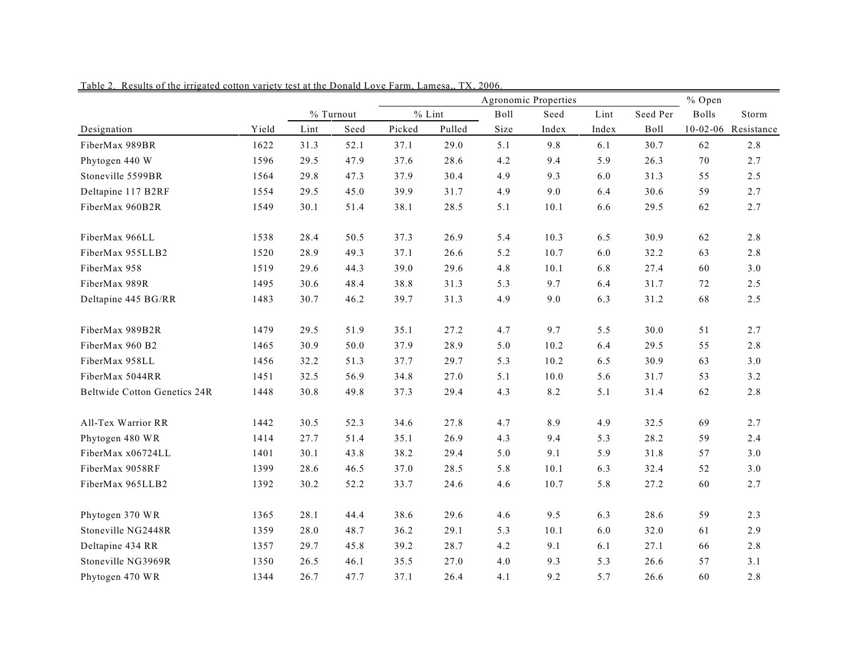|                                     |       |      |           | Agronomic Properties |          |      |       |       | % Open   |              |                     |  |
|-------------------------------------|-------|------|-----------|----------------------|----------|------|-------|-------|----------|--------------|---------------------|--|
|                                     |       |      | % Turnout |                      | $%$ Lint | Boll | Seed  | Lint  | Seed Per | <b>Bolls</b> | Storm               |  |
| Designation                         | Yield | Lint | Seed      | Picked               | Pulled   | Size | Index | Index | Boll     |              | 10-02-06 Resistance |  |
| FiberMax 989BR                      | 1622  | 31.3 | 52.1      | 37.1                 | 29.0     | 5.1  | 9.8   | 6.1   | 30.7     | 62           | 2.8                 |  |
| Phytogen 440 W                      | 1596  | 29.5 | 47.9      | 37.6                 | 28.6     | 4.2  | 9.4   | 5.9   | 26.3     | 70           | 2.7                 |  |
| Stoneville 5599BR                   | 1564  | 29.8 | 47.3      | 37.9                 | 30.4     | 4.9  | 9.3   | 6.0   | 31.3     | 55           | 2.5                 |  |
| Deltapine 117 B2RF                  | 1554  | 29.5 | 45.0      | 39.9                 | 31.7     | 4.9  | 9.0   | 6.4   | 30.6     | 59           | 2.7                 |  |
| FiberMax 960B2R                     | 1549  | 30.1 | 51.4      | 38.1                 | 28.5     | 5.1  | 10.1  | 6.6   | 29.5     | 62           | 2.7                 |  |
| FiberMax 966LL                      | 1538  | 28.4 | 50.5      | 37.3                 | 26.9     | 5.4  | 10.3  | 6.5   | 30.9     | 62           | 2.8                 |  |
| FiberMax 955LLB2                    | 1520  | 28.9 | 49.3      | 37.1                 | 26.6     | 5.2  | 10.7  | 6.0   | 32.2     | 63           | 2.8                 |  |
| FiberMax 958                        | 1519  | 29.6 | 44.3      | 39.0                 | 29.6     | 4.8  | 10.1  | 6.8   | 27.4     | 60           | $3.0$               |  |
| FiberMax 989R                       | 1495  | 30.6 | 48.4      | 38.8                 | 31.3     | 5.3  | 9.7   | 6.4   | 31.7     | 72           | 2.5                 |  |
| Deltapine 445 BG/RR                 | 1483  | 30.7 | 46.2      | 39.7                 | 31.3     | 4.9  | 9.0   | 6.3   | 31.2     | 68           | 2.5                 |  |
| FiberMax 989B2R                     | 1479  | 29.5 | 51.9      | 35.1                 | 27.2     | 4.7  | 9.7   | 5.5   | 30.0     | 51           | 2.7                 |  |
| FiberMax 960 B2                     | 1465  | 30.9 | 50.0      | 37.9                 | 28.9     | 5.0  | 10.2  | 6.4   | 29.5     | 55           | 2.8                 |  |
| FiberMax 958LL                      | 1456  | 32.2 | 51.3      | 37.7                 | 29.7     | 5.3  | 10.2  | 6.5   | 30.9     | 63           | 3.0                 |  |
| FiberMax 5044RR                     | 1451  | 32.5 | 56.9      | 34.8                 | 27.0     | 5.1  | 10.0  | 5.6   | 31.7     | 53           | 3.2                 |  |
| <b>Beltwide Cotton Genetics 24R</b> | 1448  | 30.8 | 49.8      | 37.3                 | 29.4     | 4.3  | 8.2   | 5.1   | 31.4     | 62           | 2.8                 |  |
| All-Tex Warrior RR                  | 1442  | 30.5 | 52.3      | 34.6                 | 27.8     | 4.7  | 8.9   | 4.9   | 32.5     | 69           | 2.7                 |  |
| Phytogen 480 WR                     | 1414  | 27.7 | 51.4      | 35.1                 | 26.9     | 4.3  | 9.4   | 5.3   | 28.2     | 59           | 2.4                 |  |
| FiberMax x06724LL                   | 1401  | 30.1 | 43.8      | 38.2                 | 29.4     | 5.0  | 9.1   | 5.9   | 31.8     | 57           | 3.0                 |  |
| FiberMax 9058RF                     | 1399  | 28.6 | 46.5      | 37.0                 | 28.5     | 5.8  | 10.1  | 6.3   | 32.4     | 52           | $3.0$               |  |
| FiberMax 965LLB2                    | 1392  | 30.2 | 52.2      | 33.7                 | 24.6     | 4.6  | 10.7  | 5.8   | 27.2     | 60           | 2.7                 |  |
| Phytogen 370 WR                     | 1365  | 28.1 | 44.4      | 38.6                 | 29.6     | 4.6  | 9.5   | 6.3   | 28.6     | 59           | 2.3                 |  |
| Stoneville NG2448R                  | 1359  | 28.0 | 48.7      | 36.2                 | 29.1     | 5.3  | 10.1  | 6.0   | 32.0     | 61           | 2.9                 |  |
| Deltapine 434 RR                    | 1357  | 29.7 | 45.8      | 39.2                 | 28.7     | 4.2  | 9.1   | 6.1   | 27.1     | 66           | 2.8                 |  |
| Stoneville NG3969R                  | 1350  | 26.5 | 46.1      | 35.5                 | 27.0     | 4.0  | 9.3   | 5.3   | 26.6     | 57           | 3.1                 |  |
| Phytogen 470 WR                     | 1344  | 26.7 | 47.7      | 37.1                 | 26.4     | 4.1  | 9.2   | 5.7   | 26.6     | 60           | 2.8                 |  |

Table 2. Results of the irrigated cotton variety test at the Donald Love Farm, Lamesa,, TX, 2006.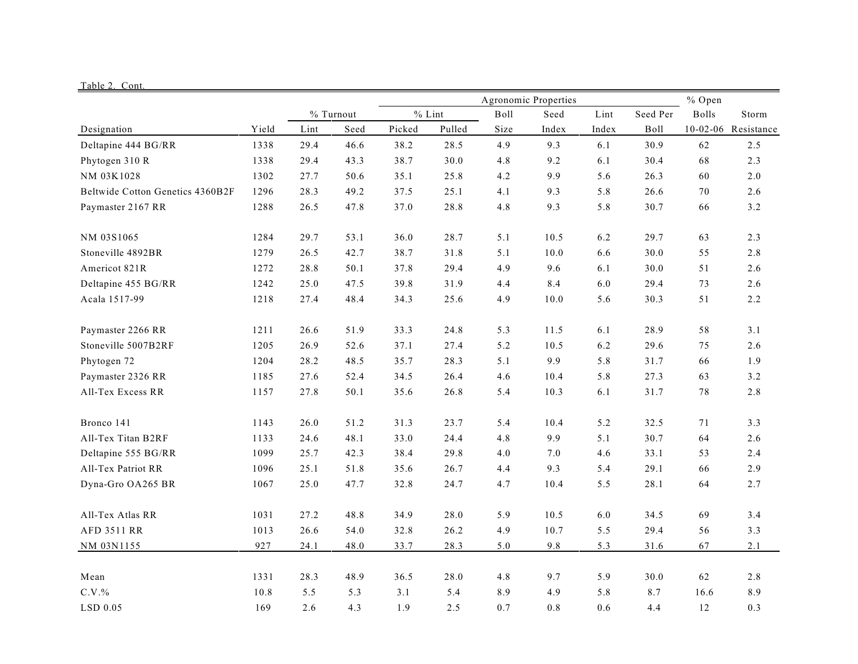|                                  |       |             |      |          |        |      | Agronomic Properties | % Open | Storm |          |                     |
|----------------------------------|-------|-------------|------|----------|--------|------|----------------------|--------|-------|----------|---------------------|
|                                  |       | $%$ Turnout |      | $%$ Lint |        | Boll | Seed                 | Lint   |       | Seed Per | <b>Bolls</b>        |
| Designation                      | Yield | Lint        | Seed | Picked   | Pulled | Size | Index                | Index  | Boll  |          | 10-02-06 Resistance |
| Deltapine 444 BG/RR              | 1338  | 29.4        | 46.6 | 38.2     | 28.5   | 4.9  | 9.3                  | 6.1    | 30.9  | 62       | 2.5                 |
| Phytogen 310 R                   | 1338  | 29.4        | 43.3 | 38.7     | 30.0   | 4.8  | 9.2                  | 6.1    | 30.4  | 68       | 2.3                 |
| NM 03K1028                       | 1302  | 27.7        | 50.6 | 35.1     | 25.8   | 4.2  | 9.9                  | 5.6    | 26.3  | 60       | $2.0\,$             |
| Beltwide Cotton Genetics 4360B2F | 1296  | 28.3        | 49.2 | 37.5     | 25.1   | 4.1  | 9.3                  | 5.8    | 26.6  | 70       | 2.6                 |
| Paymaster 2167 RR                | 1288  | 26.5        | 47.8 | 37.0     | 28.8   | 4.8  | 9.3                  | 5.8    | 30.7  | 66       | 3.2                 |
| NM 03S1065                       | 1284  | 29.7        | 53.1 | 36.0     | 28.7   | 5.1  | 10.5                 | 6.2    | 29.7  | 63       | 2.3                 |
| Stoneville 4892BR                | 1279  | 26.5        | 42.7 | 38.7     | 31.8   | 5.1  | 10.0                 | 6.6    | 30.0  | 55       | 2.8                 |
| Americot 821R                    | 1272  | 28.8        | 50.1 | 37.8     | 29.4   | 4.9  | 9.6                  | 6.1    | 30.0  | 51       | 2.6                 |
| Deltapine 455 BG/RR              | 1242  | 25.0        | 47.5 | 39.8     | 31.9   | 4.4  | 8.4                  | 6.0    | 29.4  | 73       | 2.6                 |
| Acala 1517-99                    | 1218  | 27.4        | 48.4 | 34.3     | 25.6   | 4.9  | 10.0                 | 5.6    | 30.3  | 51       | 2.2                 |
| Paymaster 2266 RR                | 1211  | 26.6        | 51.9 | 33.3     | 24.8   | 5.3  | 11.5                 | 6.1    | 28.9  | 58       | 3.1                 |
| Stoneville 5007B2RF              | 1205  | 26.9        | 52.6 | 37.1     | 27.4   | 5.2  | 10.5                 | 6.2    | 29.6  | 75       | 2.6                 |
| Phytogen 72                      | 1204  | 28.2        | 48.5 | 35.7     | 28.3   | 5.1  | 9.9                  | 5.8    | 31.7  | 66       | 1.9                 |
| Paymaster 2326 RR                | 1185  | 27.6        | 52.4 | 34.5     | 26.4   | 4.6  | 10.4                 | 5.8    | 27.3  | 63       | 3.2                 |
| All-Tex Excess RR                | 1157  | 27.8        | 50.1 | 35.6     | 26.8   | 5.4  | 10.3                 | 6.1    | 31.7  | 78       | 2.8                 |
| Bronco 141                       | 1143  | 26.0        | 51.2 | 31.3     | 23.7   | 5.4  | 10.4                 | 5.2    | 32.5  | 71       | 3.3                 |
| All-Tex Titan B2RF               | 1133  | 24.6        | 48.1 | 33.0     | 24.4   | 4.8  | 9.9                  | 5.1    | 30.7  | 64       | 2.6                 |
| Deltapine 555 BG/RR              | 1099  | 25.7        | 42.3 | 38.4     | 29.8   | 4.0  | 7.0                  | 4.6    | 33.1  | 53       | 2.4                 |
| All-Tex Patriot RR               | 1096  | 25.1        | 51.8 | 35.6     | 26.7   | 4.4  | 9.3                  | 5.4    | 29.1  | 66       | 2.9                 |
| Dyna-Gro OA265 BR                | 1067  | 25.0        | 47.7 | 32.8     | 24.7   | 4.7  | 10.4                 | 5.5    | 28.1  | 64       | 2.7                 |
| All-Tex Atlas RR                 | 1031  | 27.2        | 48.8 | 34.9     | 28.0   | 5.9  | 10.5                 | 6.0    | 34.5  | 69       | 3.4                 |
| <b>AFD 3511 RR</b>               | 1013  | 26.6        | 54.0 | 32.8     | 26.2   | 4.9  | 10.7                 | 5.5    | 29.4  | 56       | 3.3                 |
| NM 03N1155                       | 927   | 24.1        | 48.0 | 33.7     | 28.3   | 5.0  | 9.8                  | 5.3    | 31.6  | 67       | 2.1                 |
| Mean                             | 1331  | 28.3        | 48.9 | 36.5     | 28.0   | 4.8  | 9.7                  | 5.9    | 30.0  | 62       | 2.8                 |
| $C.V.$ %                         | 10.8  | 5.5         | 5.3  | 3.1      | 5.4    | 8.9  | 4.9                  | 5.8    | 8.7   | 16.6     | 8.9                 |
| LSD 0.05                         | 169   | 2.6         | 4.3  | 1.9      | 2.5    | 0.7  | 0.8                  | 0.6    | 4.4   | 12       | 0.3                 |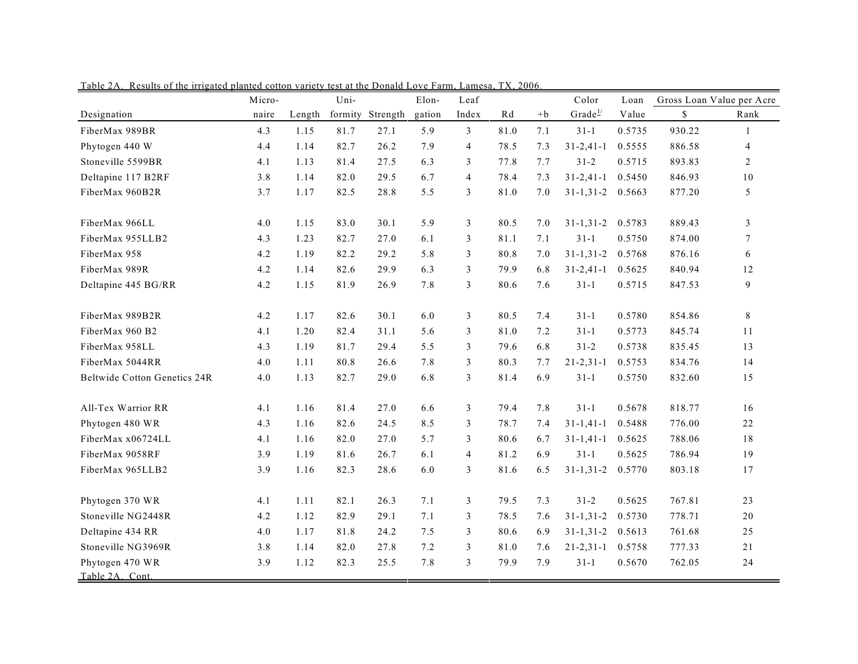|                                    | Micro- |        | Uni- |                  | Elon-  | Leaf           |      |         | Color            | Loan   |        | Gross Loan Value per Acre |
|------------------------------------|--------|--------|------|------------------|--------|----------------|------|---------|------------------|--------|--------|---------------------------|
| Designation                        | naire  | Length |      | formity Strength | gation | Index          | Rd   | $+b$    | $Grade^{\perp}$  | Value  | \$     | Rank                      |
| FiberMax 989BR                     | 4.3    | 1.15   | 81.7 | 27.1             | 5.9    | 3              | 81.0 | 7.1     | $31 - 1$         | 0.5735 | 930.22 | $\mathbf{1}$              |
| Phytogen 440 W                     | 4.4    | 1.14   | 82.7 | 26.2             | 7.9    | $\overline{4}$ | 78.5 | 7.3     | $31 - 2, 41 - 1$ | 0.5555 | 886.58 | $\overline{4}$            |
| Stoneville 5599BR                  | 4.1    | 1.13   | 81.4 | 27.5             | 6.3    | 3              | 77.8 | 7.7     | $31 - 2$         | 0.5715 | 893.83 | $\overline{2}$            |
| Deltapine 117 B2RF                 | 3.8    | 1.14   | 82.0 | 29.5             | 6.7    | $\overline{4}$ | 78.4 | 7.3     | $31 - 2, 41 - 1$ | 0.5450 | 846.93 | 10                        |
| FiberMax 960B2R                    | 3.7    | 1.17   | 82.5 | 28.8             | 5.5    | 3              | 81.0 | $7.0\,$ | $31 - 1, 31 - 2$ | 0.5663 | 877.20 | $\mathfrak{S}$            |
| FiberMax 966LL                     | 4.0    | 1.15   | 83.0 | 30.1             | 5.9    | 3              | 80.5 | 7.0     | $31 - 1, 31 - 2$ | 0.5783 | 889.43 | 3                         |
| FiberMax 955LLB2                   | 4.3    | 1.23   | 82.7 | 27.0             | 6.1    | 3              | 81.1 | 7.1     | $31 - 1$         | 0.5750 | 874.00 | $7\phantom{.0}$           |
| FiberMax 958                       | 4.2    | 1.19   | 82.2 | 29.2             | 5.8    | 3              | 80.8 | 7.0     | $31 - 1, 31 - 2$ | 0.5768 | 876.16 | 6                         |
| FiberMax 989R                      | 4.2    | 1.14   | 82.6 | 29.9             | 6.3    | 3              | 79.9 | 6.8     | $31 - 2,41 - 1$  | 0.5625 | 840.94 | 12                        |
| Deltapine 445 BG/RR                | 4.2    | 1.15   | 81.9 | 26.9             | 7.8    | 3              | 80.6 | 7.6     | $31 - 1$         | 0.5715 | 847.53 | 9                         |
| FiberMax 989B2R                    | 4.2    | 1.17   | 82.6 | 30.1             | 6.0    | 3              | 80.5 | 7.4     | $31 - 1$         | 0.5780 | 854.86 | 8                         |
| FiberMax 960 B2                    | 4.1    | 1.20   | 82.4 | 31.1             | 5.6    | 3              | 81.0 | 7.2     | $31 - 1$         | 0.5773 | 845.74 | 11                        |
| FiberMax 958LL                     | 4.3    | 1.19   | 81.7 | 29.4             | 5.5    | 3              | 79.6 | 6.8     | $31 - 2$         | 0.5738 | 835.45 | 13                        |
| FiberMax 5044RR                    | 4.0    | 1.11   | 80.8 | 26.6             | 7.8    | 3              | 80.3 | 7.7     | $21 - 2, 31 - 1$ | 0.5753 | 834.76 | 14                        |
| Beltwide Cotton Genetics 24R       | 4.0    | 1.13   | 82.7 | 29.0             | 6.8    | 3              | 81.4 | 6.9     | $31 - 1$         | 0.5750 | 832.60 | 15                        |
| All-Tex Warrior RR                 | 4.1    | 1.16   | 81.4 | 27.0             | 6.6    | $\mathfrak{Z}$ | 79.4 | 7.8     | $31 - 1$         | 0.5678 | 818.77 | 16                        |
| Phytogen 480 WR                    | 4.3    | 1.16   | 82.6 | 24.5             | 8.5    | 3              | 78.7 | 7.4     | $31 - 1,41 - 1$  | 0.5488 | 776.00 | 22                        |
| FiberMax x06724LL                  | 4.1    | 1.16   | 82.0 | 27.0             | 5.7    | 3              | 80.6 | 6.7     | $31 - 1, 41 - 1$ | 0.5625 | 788.06 | $1\,8$                    |
| FiberMax 9058RF                    | 3.9    | 1.19   | 81.6 | 26.7             | 6.1    | $\overline{4}$ | 81.2 | 6.9     | $31 - 1$         | 0.5625 | 786.94 | 19                        |
| FiberMax 965LLB2                   | 3.9    | 1.16   | 82.3 | 28.6             | 6.0    | 3              | 81.6 | 6.5     | $31 - 1, 31 - 2$ | 0.5770 | 803.18 | 17                        |
| Phytogen 370 WR                    | 4.1    | 1.11   | 82.1 | 26.3             | 7.1    | 3              | 79.5 | 7.3     | $31 - 2$         | 0.5625 | 767.81 | 23                        |
| Stoneville NG2448R                 | 4.2    | 1.12   | 82.9 | 29.1             | 7.1    | 3              | 78.5 | 7.6     | $31 - 1, 31 - 2$ | 0.5730 | 778.71 | 20                        |
| Deltapine 434 RR                   | 4.0    | 1.17   | 81.8 | 24.2             | 7.5    | 3              | 80.6 | 6.9     | $31 - 1, 31 - 2$ | 0.5613 | 761.68 | 25                        |
| Stoneville NG3969R                 | 3.8    | 1.14   | 82.0 | 27.8             | 7.2    | 3              | 81.0 | 7.6     | $21 - 2, 31 - 1$ | 0.5758 | 777.33 | 21                        |
| Phytogen 470 WR<br>Table 2A. Cont. | 3.9    | 1.12   | 82.3 | 25.5             | 7.8    | 3              | 79.9 | 7.9     | $31 - 1$         | 0.5670 | 762.05 | 24                        |

Table 2A. Results of the irrigated planted cotton variety test at the Donald Love Farm, Lamesa, TX, 2006.